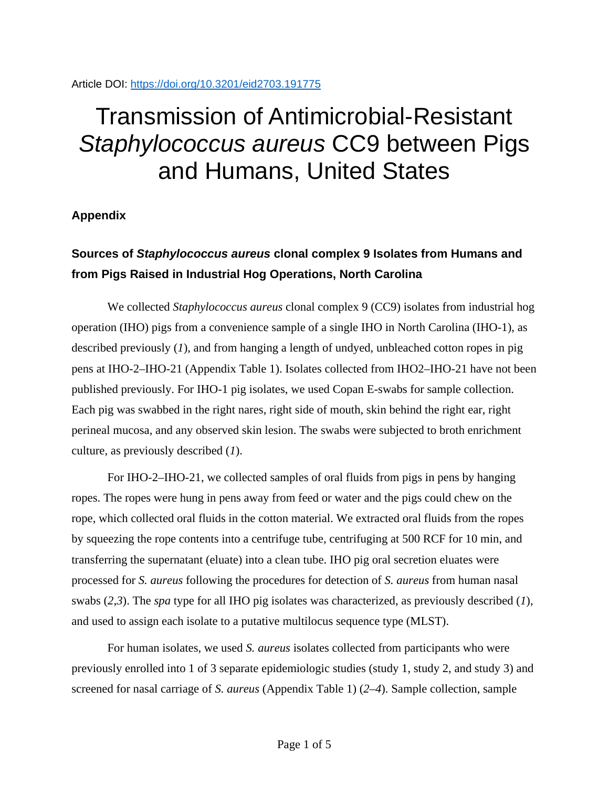### Article DOI:<https://doi.org/10.3201/eid2703.191775>

# Transmission of Antimicrobial-Resistant *Staphylococcus aureus* CC9 between Pigs and Humans, United States

### **Appendix**

## **Sources of** *Staphylococcus aureus* **clonal complex 9 Isolates from Humans and from Pigs Raised in Industrial Hog Operations, North Carolina**

We collected *Staphylococcus aureus* clonal complex 9 (CC9) isolates from industrial hog operation (IHO) pigs from a convenience sample of a single IHO in North Carolina (IHO-1), as described previously (*1*), and from hanging a length of undyed, unbleached cotton ropes in pig pens at IHO-2–IHO-21 (Appendix Table 1). Isolates collected from IHO2–IHO-21 have not been published previously. For IHO-1 pig isolates, we used Copan E-swabs for sample collection. Each pig was swabbed in the right nares, right side of mouth, skin behind the right ear, right perineal mucosa, and any observed skin lesion. The swabs were subjected to broth enrichment culture, as previously described (*1*).

For IHO-2–IHO-21, we collected samples of oral fluids from pigs in pens by hanging ropes. The ropes were hung in pens away from feed or water and the pigs could chew on the rope, which collected oral fluids in the cotton material. We extracted oral fluids from the ropes by squeezing the rope contents into a centrifuge tube, centrifuging at 500 RCF for 10 min, and transferring the supernatant (eluate) into a clean tube. IHO pig oral secretion eluates were processed for *S. aureus* following the procedures for detection of *S. aureus* from human nasal swabs (*2*,*3*). The *spa* type for all IHO pig isolates was characterized, as previously described (*1*), and used to assign each isolate to a putative multilocus sequence type (MLST).

For human isolates, we used *S. aureus* isolates collected from participants who were previously enrolled into 1 of 3 separate epidemiologic studies (study 1, study 2, and study 3) and screened for nasal carriage of *S. aureus* (Appendix Table 1) (*2*–*4*). Sample collection, sample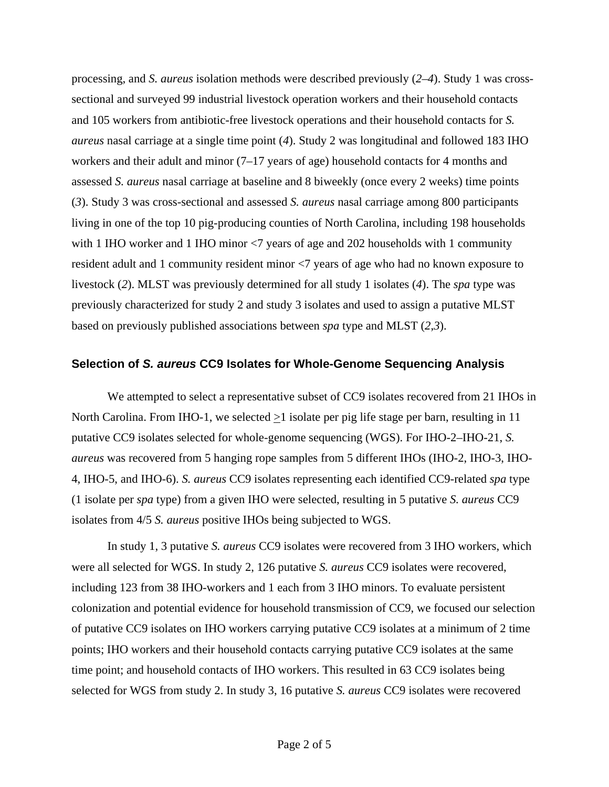processing, and *S. aureus* isolation methods were described previously (*2*–*4*). Study 1 was crosssectional and surveyed 99 industrial livestock operation workers and their household contacts and 105 workers from antibiotic-free livestock operations and their household contacts for *S. aureus* nasal carriage at a single time point (*4*). Study 2 was longitudinal and followed 183 IHO workers and their adult and minor (7–17 years of age) household contacts for 4 months and assessed *S. aureus* nasal carriage at baseline and 8 biweekly (once every 2 weeks) time points (*3*). Study 3 was cross-sectional and assessed *S. aureus* nasal carriage among 800 participants living in one of the top 10 pig-producing counties of North Carolina, including 198 households with 1 IHO worker and 1 IHO minor  $\langle 7 \rangle$  years of age and 202 households with 1 community resident adult and 1 community resident minor <7 years of age who had no known exposure to livestock (*2*). MLST was previously determined for all study 1 isolates (*4*). The *spa* type was previously characterized for study 2 and study 3 isolates and used to assign a putative MLST based on previously published associations between *spa* type and MLST (*2*,*3*).

### **Selection of** *S. aureus* **CC9 Isolates for Whole-Genome Sequencing Analysis**

We attempted to select a representative subset of CC9 isolates recovered from 21 IHOs in North Carolina. From IHO-1, we selected  $\geq 1$  isolate per pig life stage per barn, resulting in 11 putative CC9 isolates selected for whole-genome sequencing (WGS). For IHO-2–IHO-21, *S. aureus* was recovered from 5 hanging rope samples from 5 different IHOs (IHO-2, IHO-3, IHO-4, IHO-5, and IHO-6). *S. aureus* CC9 isolates representing each identified CC9-related *spa* type (1 isolate per *spa* type) from a given IHO were selected, resulting in 5 putative *S. aureus* CC9 isolates from 4/5 *S. aureus* positive IHOs being subjected to WGS.

In study 1, 3 putative *S. aureus* CC9 isolates were recovered from 3 IHO workers, which were all selected for WGS. In study 2, 126 putative *S. aureus* CC9 isolates were recovered, including 123 from 38 IHO-workers and 1 each from 3 IHO minors. To evaluate persistent colonization and potential evidence for household transmission of CC9, we focused our selection of putative CC9 isolates on IHO workers carrying putative CC9 isolates at a minimum of 2 time points; IHO workers and their household contacts carrying putative CC9 isolates at the same time point; and household contacts of IHO workers. This resulted in 63 CC9 isolates being selected for WGS from study 2. In study 3, 16 putative *S. aureus* CC9 isolates were recovered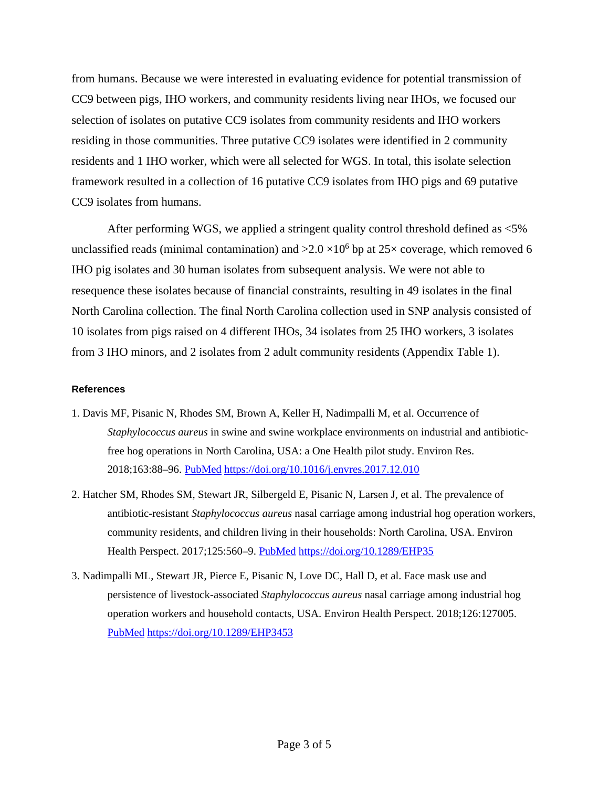from humans. Because we were interested in evaluating evidence for potential transmission of CC9 between pigs, IHO workers, and community residents living near IHOs, we focused our selection of isolates on putative CC9 isolates from community residents and IHO workers residing in those communities. Three putative CC9 isolates were identified in 2 community residents and 1 IHO worker, which were all selected for WGS. In total, this isolate selection framework resulted in a collection of 16 putative CC9 isolates from IHO pigs and 69 putative CC9 isolates from humans.

After performing WGS, we applied a stringent quality control threshold defined as <5% unclassified reads (minimal contamination) and  $>2.0 \times 10^6$  bp at 25 $\times$  coverage, which removed 6 IHO pig isolates and 30 human isolates from subsequent analysis. We were not able to resequence these isolates because of financial constraints, resulting in 49 isolates in the final North Carolina collection. The final North Carolina collection used in SNP analysis consisted of 10 isolates from pigs raised on 4 different IHOs, 34 isolates from 25 IHO workers, 3 isolates from 3 IHO minors, and 2 isolates from 2 adult community residents (Appendix Table 1).

#### **References**

- 1. Davis MF, Pisanic N, Rhodes SM, Brown A, Keller H, Nadimpalli M, et al. Occurrence of *Staphylococcus aureus* in swine and swine workplace environments on industrial and antibioticfree hog operations in North Carolina, USA: a One Health pilot study. Environ Res. 2018;163:88–96. [PubMed](https://www.ncbi.nlm.nih.gov/entrez/query.fcgi?cmd=Retrieve&db=PubMed&list_uids=29428885&dopt=Abstract) <https://doi.org/10.1016/j.envres.2017.12.010>
- 2. Hatcher SM, Rhodes SM, Stewart JR, Silbergeld E, Pisanic N, Larsen J, et al. The prevalence of antibiotic-resistant *Staphylococcus aureus* nasal carriage among industrial hog operation workers, community residents, and children living in their households: North Carolina, USA. Environ Health Perspect. 2017;125:560-9. [PubMed](https://www.ncbi.nlm.nih.gov/entrez/query.fcgi?cmd=Retrieve&db=PubMed&list_uids=28362266&dopt=Abstract) <https://doi.org/10.1289/EHP35>
- 3. Nadimpalli ML, Stewart JR, Pierce E, Pisanic N, Love DC, Hall D, et al. Face mask use and persistence of livestock-associated *Staphylococcus aureus* nasal carriage among industrial hog operation workers and household contacts, USA. Environ Health Perspect. 2018;126:127005[.](https://www.ncbi.nlm.nih.gov/entrez/query.fcgi?cmd=Retrieve&db=PubMed&list_uids=30675826&dopt=Abstract) [PubMed](https://www.ncbi.nlm.nih.gov/entrez/query.fcgi?cmd=Retrieve&db=PubMed&list_uids=30675826&dopt=Abstract) <https://doi.org/10.1289/EHP3453>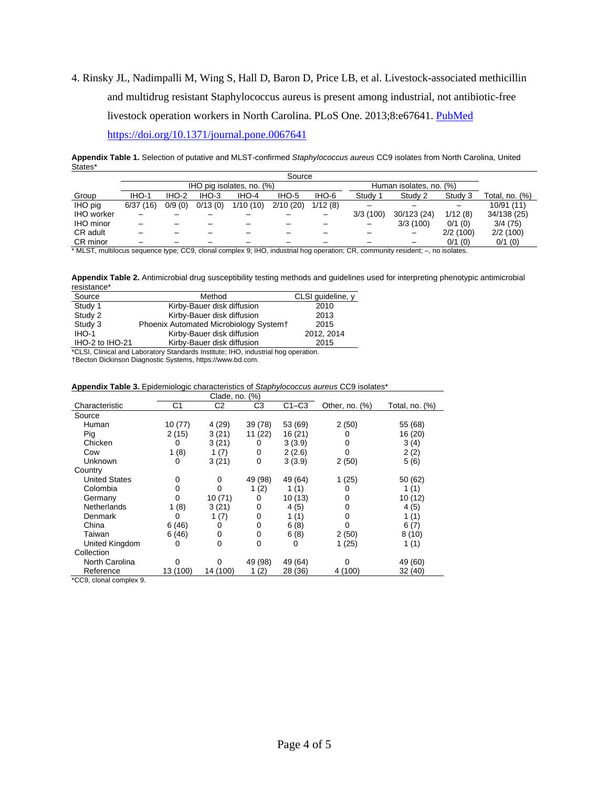4. Rinsky JL, Nadimpalli M, Wing S, Hall D, Baron D, Price LB, et al. Livestock-associated methicillin and multidrug resistant Staphylococcus aureus is present among industrial, not antibiotic-free livestock operation workers in North Carolina. PLoS One. 2013;8:e67641. [PubMed](https://www.ncbi.nlm.nih.gov/entrez/query.fcgi?cmd=Retrieve&db=PubMed&list_uids=23844044&dopt=Abstract)

<https://doi.org/10.1371/journal.pone.0067641>

**Appendix Table 1.** Selection of putative and MLST-confirmed *Staphylococcus aureus* CC9 isolates from North Carolina, United States\*

|                  | Source   |                           |         |          |          |         |                    |                         |           |                |  |
|------------------|----------|---------------------------|---------|----------|----------|---------|--------------------|-------------------------|-----------|----------------|--|
|                  |          | IHO pig isolates, no. (%) |         |          |          |         |                    | Human isolates, no. (%) |           |                |  |
| Group            | IHO-1    | IHO-2                     | $IHO-3$ | IHO-4    | IHO-5    | IHO-6   | Studv <sup>-</sup> | Study 2                 | Study 3   | Total, no. (%) |  |
| IHO pig          | 6/37(16) | 0/9(0)                    | 0/13(0) | 1/10(10) | 2/10(20) | 1/12(8) |                    |                         |           | 10/91 (11)     |  |
| IHO worker       |          |                           |         |          |          |         | 3/3(100)           | 30/123 (24)             | 1/12(8)   | 34/138 (25)    |  |
| <b>IHO</b> minor |          |                           |         |          |          |         |                    | 3/3(100)                | $0/1$ (0) | 3/4(75)        |  |
| CR adult         |          |                           |         |          |          |         |                    |                         | 2/2(100)  | 2/2(100)       |  |
| CR minor         |          |                           |         |          |          |         |                    |                         | $0/1$ (0) | $0/1$ (0)      |  |

\* MLST, multilocus sequence type; CC9, clonal complex 9; IHO, industrial hog operation; CR, community resident; –, no isolates.

**Appendix Table 2.** Antimicrobial drug susceptibility testing methods and guidelines used for interpreting phenotypic antimicrobial resistance\*

| Source                                                                            | Method                                 | CLSI quideline, y |  |  |  |  |  |
|-----------------------------------------------------------------------------------|----------------------------------------|-------------------|--|--|--|--|--|
| Study 1                                                                           | Kirby-Bauer disk diffusion             | 2010              |  |  |  |  |  |
| Study 2                                                                           | Kirby-Bauer disk diffusion             | 2013              |  |  |  |  |  |
| Study 3                                                                           | Phoenix Automated Microbiology System+ | 2015              |  |  |  |  |  |
| $IHO-1$                                                                           | Kirby-Bauer disk diffusion             | 2012, 2014        |  |  |  |  |  |
| IHO-2 to IHO-21                                                                   | Kirby-Bauer disk diffusion             | 2015              |  |  |  |  |  |
| <b>*OLOLO</b> Bataalaad Labaassan Osaadaada lastinisa UJO, tadiistada baa aaastaa |                                        |                   |  |  |  |  |  |

\*CLSI, Clinical and Laboratory Standards Institute; IHO, industrial hog operation.

†Becton Dickinson Diagnostic Systems, https://www.bd.com.

|  |  |  | Appendix Table 3. Epidemiologic characteristics of Staphylococcus aureus CC9 isolates* |  |  |  |
|--|--|--|----------------------------------------------------------------------------------------|--|--|--|
|--|--|--|----------------------------------------------------------------------------------------|--|--|--|

|                      |          | Clade, no. $(\%)$ |         |         |                   |                |
|----------------------|----------|-------------------|---------|---------|-------------------|----------------|
| Characteristic       | C1       | C <sub>2</sub>    | C3      | $C1-C3$ | Other, no. $(\%)$ | Total, no. (%) |
| Source               |          |                   |         |         |                   |                |
| Human                | 10 (77)  | 4(29)             | 39 (78) | 53 (69) | 2(50)             | 55 (68)        |
| Pig                  | 2(15)    | 3(21)             | 11 (22) | 16 (21) |                   | 16 (20)        |
| Chicken              | 0        | 3(21)             | 0       | 3(3.9)  | 0                 | 3(4)           |
| Cow                  | 1(8)     | 1(7)              | 0       | 2(2.6)  | 0                 | 2(2)           |
| Unknown              | 0        | 3(21)             | 0       | 3(3.9)  | 2(50)             | 5(6)           |
| Country              |          |                   |         |         |                   |                |
| <b>United States</b> | 0        | 0                 | 49 (98) | 49 (64) | 1(25)             | 50 (62)        |
| Colombia             | 0        | 0                 | 1(2)    | 1(1)    |                   | 1(1)           |
| Germany              | 0        | 10(71)            | 0       | 10(13)  | 0                 | 10(12)         |
| Netherlands          | 1(8)     | 3(21)             | 0       | 4(5)    | 0                 | 4(5)           |
| Denmark              | 0        | 1(7)              | 0       | 1 $(1)$ |                   | 1(1)           |
| China                | 6(46)    | 0                 | 0       | 6(8)    |                   | 6(7)           |
| Taiwan               | 6(46)    | 0                 | 0       | 6(8)    | 2(50)             | 8(10)          |
| United Kingdom       | 0        | 0                 | 0       | O       | 1(25)             | 1(1)           |
| Collection           |          |                   |         |         |                   |                |
| North Carolina       | 0        | 0                 | 49 (98) | 49 (64) | 0                 | 49 (60)        |
| Reference            | 13 (100) | 14 (100)          | (2)     | 28 (36) | 4 (100)           | 32 (40)        |

\*CC9, clonal complex 9.